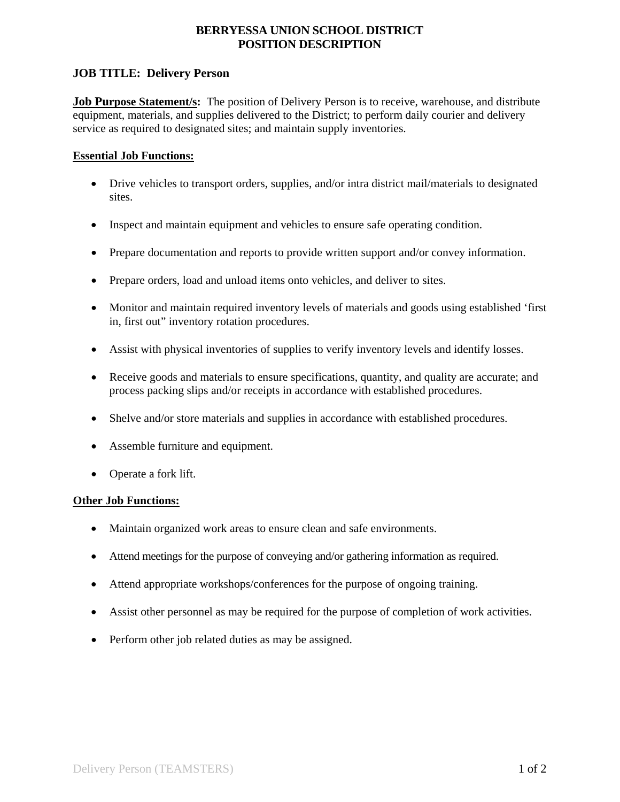# **BERRYESSA UNION SCHOOL DISTRICT POSITION DESCRIPTION**

# **JOB TITLE: Delivery Person**

**Job Purpose Statement/s:** The position of Delivery Person is to receive, warehouse, and distribute equipment, materials, and supplies delivered to the District; to perform daily courier and delivery service as required to designated sites; and maintain supply inventories.

## **Essential Job Functions:**

- Drive vehicles to transport orders, supplies, and/or intra district mail/materials to designated sites.
- Inspect and maintain equipment and vehicles to ensure safe operating condition.
- Prepare documentation and reports to provide written support and/or convey information.
- Prepare orders, load and unload items onto vehicles, and deliver to sites.
- Monitor and maintain required inventory levels of materials and goods using established 'first in, first out" inventory rotation procedures.
- Assist with physical inventories of supplies to verify inventory levels and identify losses.
- Receive goods and materials to ensure specifications, quantity, and quality are accurate; and process packing slips and/or receipts in accordance with established procedures.
- Shelve and/or store materials and supplies in accordance with established procedures.
- Assemble furniture and equipment.
- Operate a fork lift.

## **Other Job Functions:**

- Maintain organized work areas to ensure clean and safe environments.
- Attend meetings for the purpose of conveying and/or gathering information as required.
- Attend appropriate workshops/conferences for the purpose of ongoing training.
- Assist other personnel as may be required for the purpose of completion of work activities.
- Perform other job related duties as may be assigned.